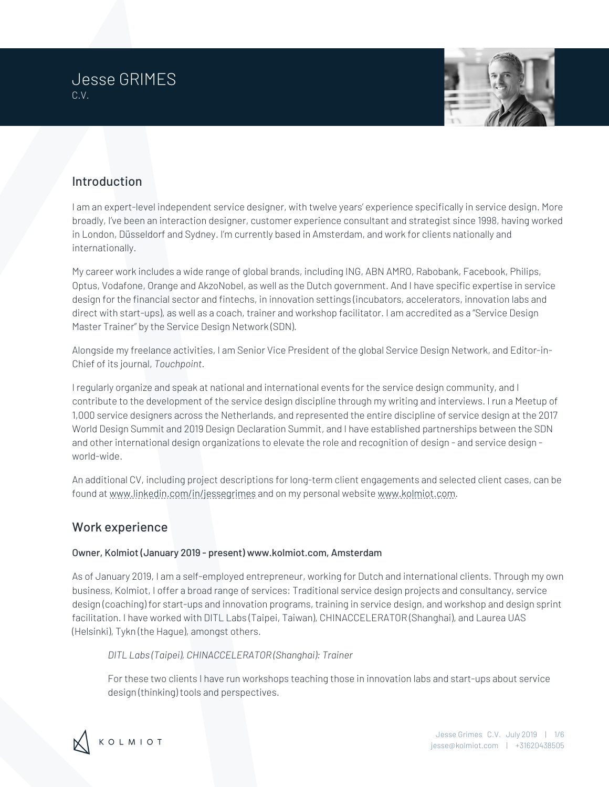



# Introduction

I am an expert-level independent service designer, with twelve years' experience specifically in service design. More broadly, I've been an interaction designer, customer experience consultant and strategist since 1998, having worked in London, Düsseldorf and Sydney. I'm currently based in Amsterdam, and work for clients nationally and internationally.

My career work includes a wide range of global brands, including ING, ABN AMRO, Rabobank, Facebook, Philips, Optus, Vodafone, Orange and AkzoNobel, as well as the Dutch government. And I have specific expertise in service design for the financial sector and fintechs, in innovation settings (incubators, accelerators, innovation labs and direct with start-ups), as well as a coach, trainer and workshop facilitator. I am accredited as a "Service Design Master Trainer" by the Service Design Network (SDN).

Alongside my freelance activities, I am Senior Vice President of the global Service Design Network, and Editor-in-Chief of its journal, *Touchpoint*.

I regularly organize and speak at national and international events for the service design community, and I contribute to the development of the service design discipline through my writing and interviews. I run a Meetup of 1,000 service designers across the Netherlands, and represented the entire discipline of service design at the 2017 World Design Summit and 2019 Design Declaration Summit, and I have established partnerships between the SDN and other international design organizations to elevate the role and recognition of design - and service design world-wide.

An additional CV, including project descriptions for long-term client engagements and selected client cases, can be found at www.linkedin.com/in/jessegrimes and on my personal website www.kolmiot.com.

## Work experience

### Owner, Kolmiot (January 2019 - present) www.kolmiot.com, Amsterdam

As of January 2019, I am a self-employed entrepreneur, working for Dutch and international clients. Through my own business, Kolmiot, I offer a broad range of services: Traditional service design projects and consultancy, service design (coaching) for start-ups and innovation programs, training in service design, and workshop and design sprint facilitation. I have worked with DITL Labs (Taipei, Taiwan), CHINACCELERATOR (Shanghai), and Laurea UAS (Helsinki), Tykn (the Hague), amongst others.

*DITL Labs (Taipei), CHINACCELERATOR (Shanghai): Trainer*

For these two clients I have run workshops teaching those in innovation labs and start-ups about service design (thinking) tools and perspectives.

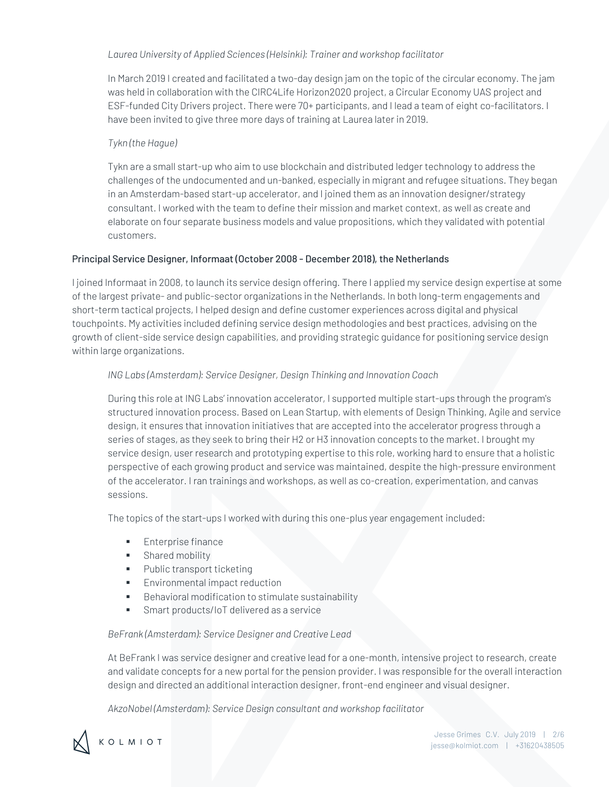#### *Laurea University of Applied Sciences (Helsinki): Trainer and workshop facilitator*

In March 2019 I created and facilitated a two-day design jam on the topic of the circular economy. The jam was held in collaboration with the CIRC4Life Horizon2020 project, a Circular Economy UAS project and ESF-funded City Drivers project. There were 70+ participants, and I lead a team of eight co-facilitators. I have been invited to give three more days of training at Laurea later in 2019.

### *Tykn (the Hague)*

Tykn are a small start-up who aim to use blockchain and distributed ledger technology to address the challenges of the undocumented and un-banked, especially in migrant and refugee situations. They began in an Amsterdam-based start-up accelerator, and I joined them as an innovation designer/strategy consultant. I worked with the team to define their mission and market context, as well as create and elaborate on four separate business models and value propositions, which they validated with potential customers.

#### Principal Service Designer, Informaat (October 2008 - December 2018), the Netherlands

I joined Informaat in 2008, to launch its service design offering. There I applied my service design expertise at some of the largest private- and public-sector organizations in the Netherlands. In both long-term engagements and short-term tactical projects, I helped design and define customer experiences across digital and physical touchpoints. My activities included defining service design methodologies and best practices, advising on the growth of client-side service design capabilities, and providing strategic guidance for positioning service design within large organizations.

### *ING Labs (Amsterdam): Service Designer, Design Thinking and Innovation Coach*

During this role at ING Labs' innovation accelerator, I supported multiple start-ups through the program's structured innovation process. Based on Lean Startup, with elements of Design Thinking, Agile and service design, it ensures that innovation initiatives that are accepted into the accelerator progress through a series of stages, as they seek to bring their H2 or H3 innovation concepts to the market. I brought my service design, user research and prototyping expertise to this role, working hard to ensure that a holistic perspective of each growing product and service was maintained, despite the high-pressure environment of the accelerator. I ran trainings and workshops, as well as co-creation, experimentation, and canvas sessions.

The topics of the start-ups I worked with during this one-plus year engagement included:

- Enterprise finance
- Shared mobility
- Public transport ticketing
- **Environmental impact reduction**
- Behavioral modification to stimulate sustainability
- Smart products/IoT delivered as a service

#### *BeFrank (Amsterdam): Service Designer and Creative Lead*

At BeFrank I was service designer and creative lead for a one-month, intensive project to research, create and validate concepts for a new portal for the pension provider. I was responsible for the overall interaction design and directed an additional interaction designer, front-end engineer and visual designer.

*AkzoNobel (Amsterdam): Service Design consultant and workshop facilitator*

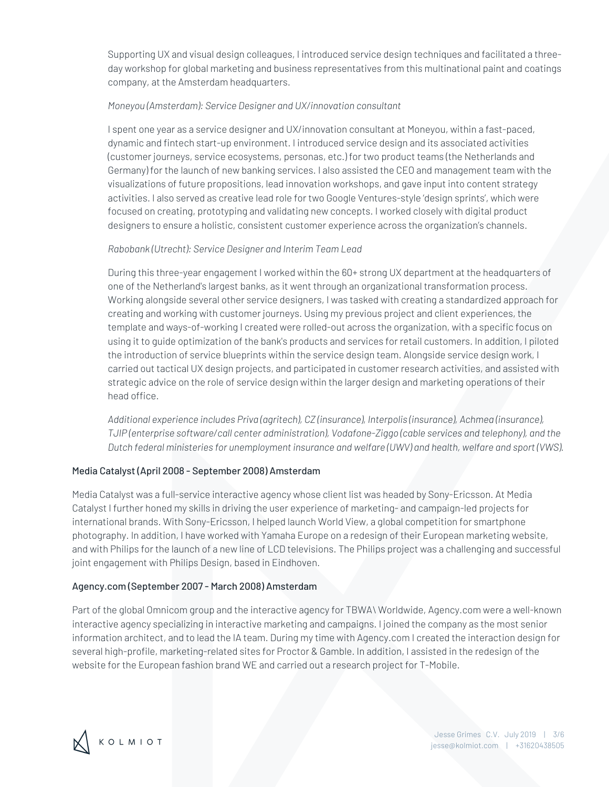Supporting UX and visual design colleagues, I introduced service design techniques and facilitated a threeday workshop for global marketing and business representatives from this multinational paint and coatings company, at the Amsterdam headquarters.

#### *Moneyou (Amsterdam): Service Designer and UX/innovation consultant*

I spent one year as a service designer and UX/innovation consultant at Moneyou, within a fast-paced, dynamic and fintech start-up environment. I introduced service design and its associated activities (customer journeys, service ecosystems, personas, etc.) for two product teams (the Netherlands and Germany) for the launch of new banking services. I also assisted the CEO and management team with the visualizations of future propositions, lead innovation workshops, and gave input into content strategy activities. I also served as creative lead role for two Google Ventures-style 'design sprints', which were focused on creating, prototyping and validating new concepts. I worked closely with digital product designers to ensure a holistic, consistent customer experience across the organization's channels.

#### *Rabobank (Utrecht): Service Designer and Interim Team Lead*

During this three-year engagement I worked within the 60+ strong UX department at the headquarters of one of the Netherland's largest banks, as it went through an organizational transformation process. Working alongside several other service designers, I was tasked with creating a standardized approach for creating and working with customer journeys. Using my previous project and client experiences, the template and ways-of-working I created were rolled-out across the organization, with a specific focus on using it to guide optimization of the bank's products and services for retail customers. In addition, I piloted the introduction of service blueprints within the service design team. Alongside service design work, I carried out tactical UX design projects, and participated in customer research activities, and assisted with strategic advice on the role of service design within the larger design and marketing operations of their head office.

*Additional experience includes Priva (agritech), CZ (insurance), Interpolis (insurance), Achmea (insurance), TJIP (enterprise software/call center administration), Vodafone-Ziggo (cable services and telephony), and the Dutch federal ministeries for unemployment insurance and welfare (UWV) and health, welfare and sport (VWS).*

### Media Catalyst (April 2008 - September 2008) Amsterdam

Media Catalyst was a full-service interactive agency whose client list was headed by Sony-Ericsson. At Media Catalyst I further honed my skills in driving the user experience of marketing- and campaign-led projects for international brands. With Sony-Ericsson, I helped launch World View, a global competition for smartphone photography. In addition, I have worked with Yamaha Europe on a redesign of their European marketing website, and with Philips for the launch of a new line of LCD televisions. The Philips project was a challenging and successful joint engagement with Philips Design, based in Eindhoven.

#### Agency.com (September 2007 - March 2008) Amsterdam

Part of the global Omnicom group and the interactive agency for TBWA\ Worldwide, Agency.com were a well-known interactive agency specializing in interactive marketing and campaigns. I joined the company as the most senior information architect, and to lead the IA team. During my time with Agency.com I created the interaction design for several high-profile, marketing-related sites for Proctor & Gamble. In addition, I assisted in the redesign of the website for the European fashion brand WE and carried out a research project for T-Mobile.

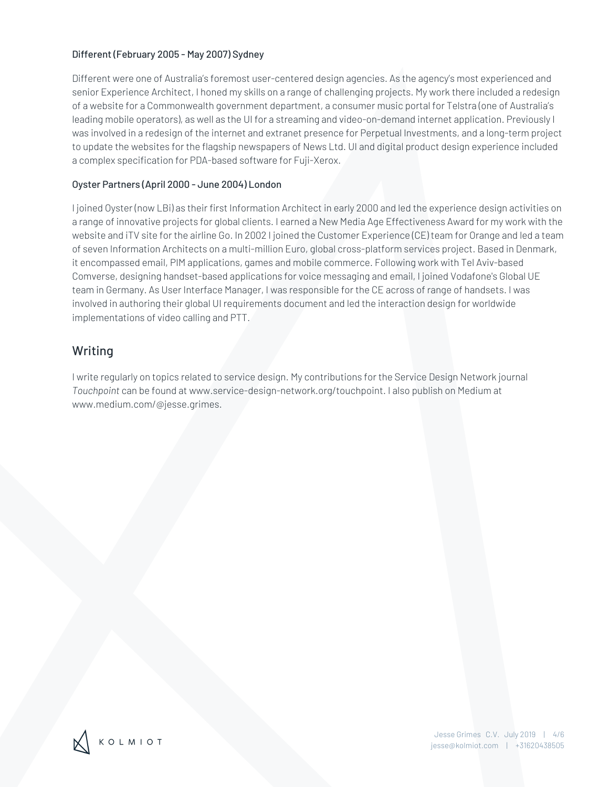#### Different (February 2005 - May 2007) Sydney

Different were one of Australia's foremost user-centered design agencies. As the agency's most experienced and senior Experience Architect, I honed my skills on a range of challenging projects. My work there included a redesign of a website for a Commonwealth government department, a consumer music portal for Telstra (one of Australia's leading mobile operators), as well as the UI for a streaming and video-on-demand internet application. Previously I was involved in a redesign of the internet and extranet presence for Perpetual Investments, and a long-term project to update the websites for the flagship newspapers of News Ltd. UI and digital product design experience included a complex specification for PDA-based software for Fuji-Xerox.

#### Oyster Partners (April 2000 - June 2004) London

I joined Oyster (now LBi) as their first Information Architect in early 2000 and led the experience design activities on a range of innovative projects for global clients. I earned a New Media Age Effectiveness Award for my work with the website and iTV site for the airline Go. In 2002 I joined the Customer Experience (CE) team for Orange and led a team of seven Information Architects on a multi-million Euro, global cross-platform services project. Based in Denmark, it encompassed email, PIM applications, games and mobile commerce. Following work with Tel Aviv-based Comverse, designing handset-based applications for voice messaging and email, I joined Vodafone's Global UE team in Germany. As User Interface Manager, I was responsible for the CE across of range of handsets. I was involved in authoring their global UI requirements document and led the interaction design for worldwide implementations of video calling and PTT.

## Writing

I write regularly on topics related to service design. My contributions for the Service Design Network journal *Touchpoint* can be found at www.service-design-network.org/touchpoint. I also publish on Medium at www.medium.com/@jesse.grimes.

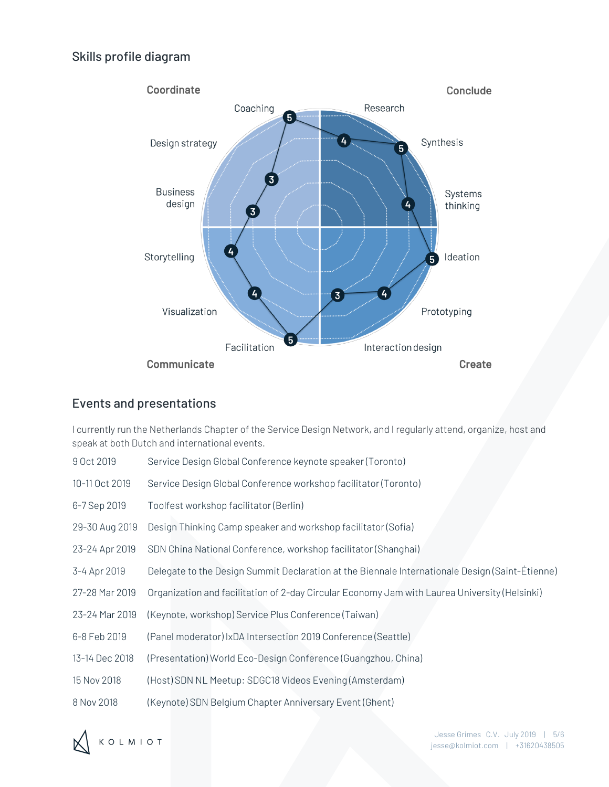## Skills profile diagram



## Events and presentations

I currently run the Netherlands Chapter of the Service Design Network, and I regularly attend, organize, host and speak at both Dutch and international events.

- 9 Oct 2019 Service Design Global Conference keynote speaker (Toronto)
- 10-11 Oct 2019 Service Design Global Conference workshop facilitator (Toronto)
- 6-7 Sep 2019 Toolfest workshop facilitator (Berlin)
- 29-30 Aug 2019 Design Thinking Camp speaker and workshop facilitator (Sofia)
- 23-24 Apr 2019 SDN China National Conference, workshop facilitator (Shanghai)
- 3-4 Apr 2019 Delegate to the Design Summit Declaration at the Biennale Internationale Design (Saint-Étienne)
- 27-28 Mar 2019 Organization and facilitation of 2-day Circular Economy Jam with Laurea University (Helsinki)
- 23-24 Mar 2019 (Keynote, workshop) Service Plus Conference (Taiwan)
- 6-8 Feb 2019 (Panel moderator) IxDA Intersection 2019 Conference (Seattle)
- 13-14 Dec 2018 (Presentation) World Eco-Design Conference (Guangzhou, China)
- 15 Nov 2018 (Host) SDN NL Meetup: SDGC18 Videos Evening (Amsterdam)
- 8 Nov 2018 (Keynote) SDN Belgium Chapter Anniversary Event (Ghent)